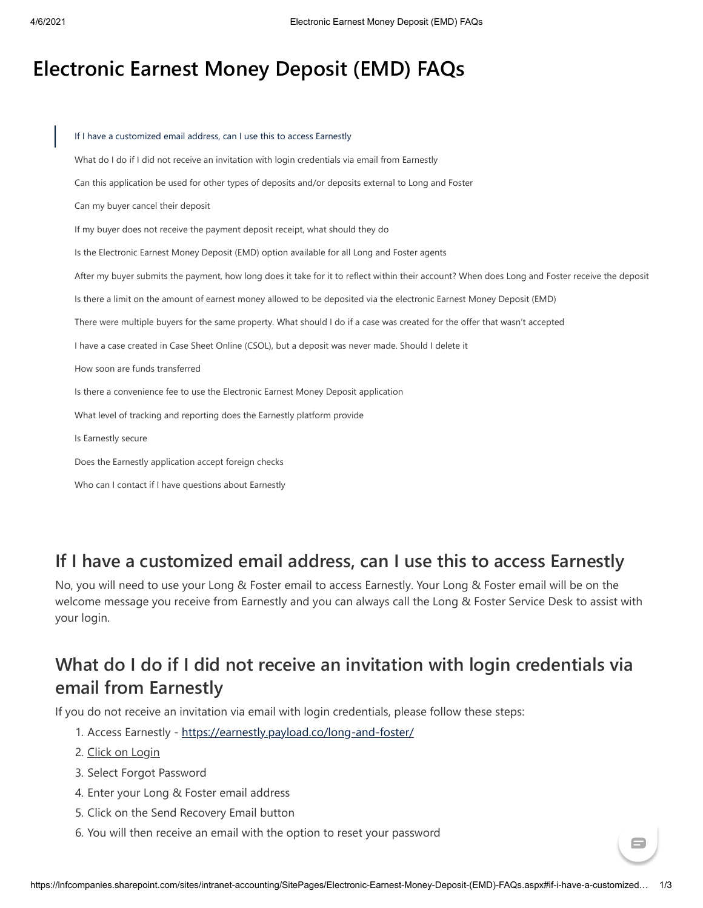# **Electronic Earnest Money Deposit (EMD) FAQs**

| If I have a customized email address, can I use this to access Earnestly                                                                        |
|-------------------------------------------------------------------------------------------------------------------------------------------------|
| What do I do if I did not receive an invitation with login credentials via email from Earnestly                                                 |
| Can this application be used for other types of deposits and/or deposits external to Long and Foster                                            |
| Can my buyer cancel their deposit                                                                                                               |
| If my buyer does not receive the payment deposit receipt, what should they do                                                                   |
| Is the Electronic Earnest Money Deposit (EMD) option available for all Long and Foster agents                                                   |
| After my buyer submits the payment, how long does it take for it to reflect within their account? When does Long and Foster receive the deposit |
| Is there a limit on the amount of earnest money allowed to be deposited via the electronic Earnest Money Deposit (EMD)                          |
| There were multiple buyers for the same property. What should I do if a case was created for the offer that wasn't accepted                     |
| I have a case created in Case Sheet Online (CSOL), but a deposit was never made. Should I delete it                                             |
| How soon are funds transferred                                                                                                                  |
| Is there a convenience fee to use the Electronic Earnest Money Deposit application                                                              |
| What level of tracking and reporting does the Earnestly platform provide                                                                        |
| Is Earnestly secure                                                                                                                             |
| Does the Earnestly application accept foreign checks                                                                                            |
| Who can I contact if I have questions about Earnestly                                                                                           |
|                                                                                                                                                 |
|                                                                                                                                                 |
| I have a customized email address, can I use this to access Earnestly                                                                           |
| ), you will need to use your Long & Foster email to access Earnestly. Your Long & Foster email will be on the                                   |
| lcome message you receive from Earnestly and you can always call the Long & Foster Service Desk to assist with                                  |
| ur login.                                                                                                                                       |
|                                                                                                                                                 |
| /hat do I do if I did not receive an invitation with login credentials via                                                                      |
| mail from Earnestly                                                                                                                             |
| ou do not receive an invitation via email with login credentials, please follow these steps:                                                    |
| 1. Access Earnestly - https://earnestly.payload.co/long-and-foster/                                                                             |
| 2. Click on Login                                                                                                                               |
| 3. Select Forgot Password                                                                                                                       |
| 4. Enter your Long & Foster email address                                                                                                       |
| 5. Click on the Send Recovery Email button                                                                                                      |
| 6. You will then receive an email with the option to reset your password                                                                        |

#### <span id="page-0-0"></span>**If I have a customized email address, can I use this to access Earnestly**

## <span id="page-0-1"></span>**What do I do if I did not receive an invitation with login credentials via email from Earnestly**

- 1. Access Earnestly -<https://earnestly.payload.co/long-and-foster/>
- 2. Click on Login
- 3. Select Forgot Password
- 4. Enter your Long & Foster email address
- 5. Click on the Send Recovery Email button
- 

 $\blacksquare$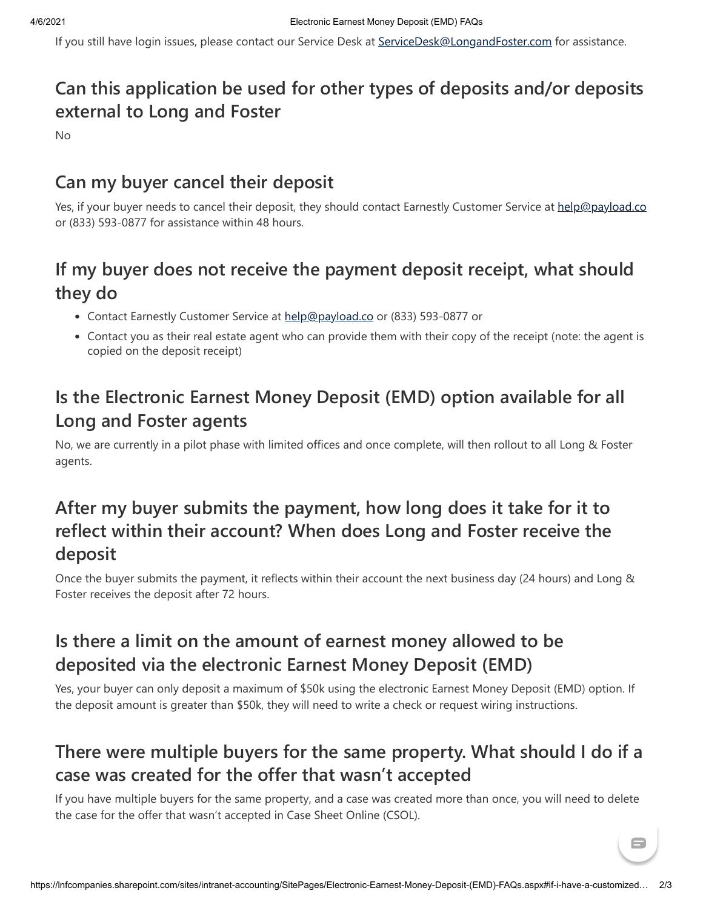If you still have login issues, please contact our Service Desk at [ServiceDesk@LongandFoster.com](mailto:ServiceDesk@LongandFoster.com) for assistance.

## **Can this application be used for other types of deposits and/or deposits external to Long and Foster**

No

#### <span id="page-1-0"></span>**Can my buyer cancel their deposit**

Yes, if your buyer needs to cancel their deposit, they should contact Earnestly Customer Service at [help@payload.co](mailto:help@payload.co) or (833) 593-0877 for assistance within 48 hours.

## <span id="page-1-1"></span>**If my buyer does not receive the payment deposit receipt, what should they do**

- Contact Earnestly Customer Service at [help@payload.co](mailto:help@payload.co) or (833) 593-0877 or
- Contact you as their real estate agent who can provide them with their copy of the receipt (note: the agent is copied on the deposit receipt)

## <span id="page-1-2"></span>**Is the Electronic Earnest Money Deposit (EMD) option available for all Long and Foster agents**

No, we are currently in a pilot phase with limited offices and once complete, will then rollout to all Long & Foster agents.

## **After my buyer submits the payment, how long does it take for it to reflect within their account? When does Long and Foster receive the deposit**

Once the buyer submits the payment, it reflects within their account the next business day (24 hours) and Long & Foster receives the deposit after 72 hours.

## <span id="page-1-3"></span>**Is there a limit on the amount of earnest money allowed to be deposited via the electronic Earnest Money Deposit (EMD)**

Yes, your buyer can only deposit a maximum of \$50k using the electronic Earnest Money Deposit (EMD) option. If the deposit amount is greater than \$50k, they will need to write a check or request wiring instructions.

## <span id="page-1-4"></span>**There were multiple buyers for the same property. What should I do if a case was created for the offer that wasn't accepted**

If you have multiple buyers for the same property, and a case was created more than once, you will need to delete the case for the offer that wasn't accepted in Case Sheet Online (CSOL).

https://lnfcompanies.sharepoint.com/sites/intranet-accounting/SitePages/Electronic-Earnest-Money-Deposit-(EMD)-FAQs.aspx#if-i-have-a-customized… 2/3

 $\blacksquare$